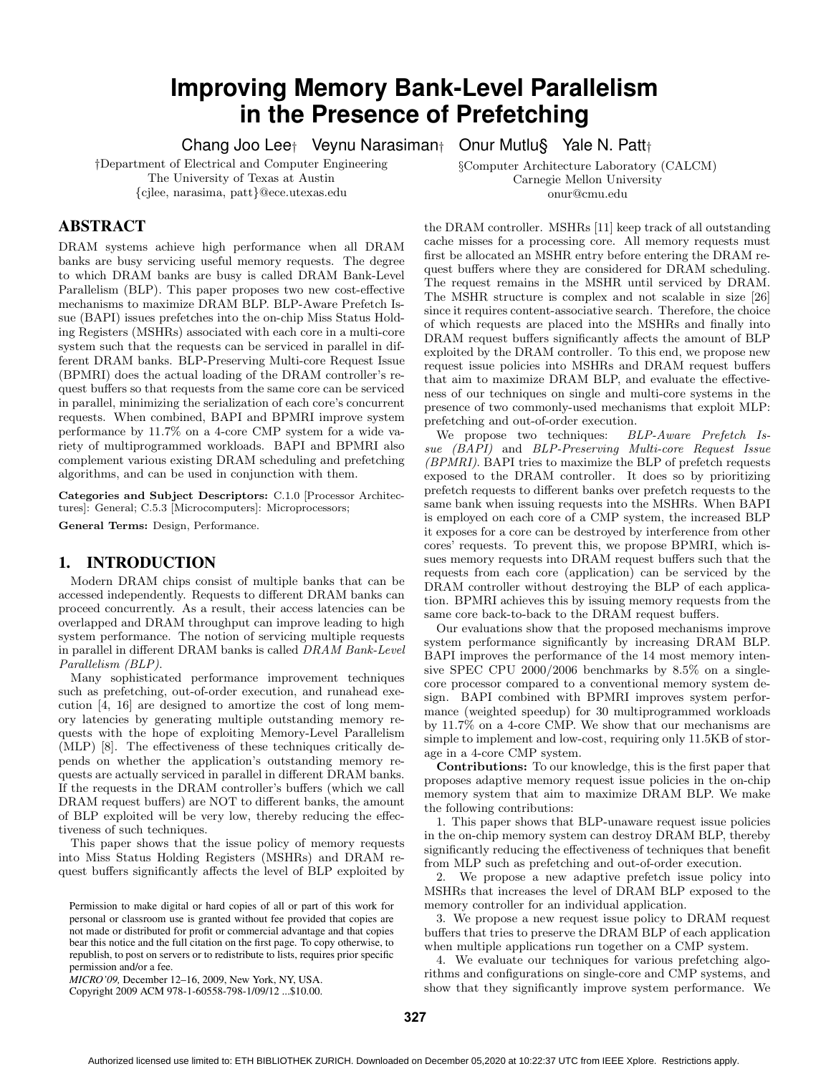# **Improving Memory Bank-Level Parallelism in the Presence of Prefetching**

Chang Joo Lee† Veynu Narasiman† Onur Mutlu§ Yale N. Patt†

§Computer Architecture Laboratory (CALCM) Carnegie Mellon University onur@cmu.edu

†Department of Electrical and Computer Engineering The University of Texas at Austin {cjlee, narasima, patt}@ece.utexas.edu

# **ABSTRACT**

DRAM systems achieve high performance when all DRAM banks are busy servicing useful memory requests. The degree to which DRAM banks are busy is called DRAM Bank-Level Parallelism (BLP). This paper proposes two new cost-effective mechanisms to maximize DRAM BLP. BLP-Aware Prefetch Issue (BAPI) issues prefetches into the on-chip Miss Status Holding Registers (MSHRs) associated with each core in a multi-core system such that the requests can be serviced in parallel in different DRAM banks. BLP-Preserving Multi-core Request Issue (BPMRI) does the actual loading of the DRAM controller's request buffers so that requests from the same core can be serviced in parallel, minimizing the serialization of each core's concurrent requests. When combined, BAPI and BPMRI improve system performance by 11.7% on a 4-core CMP system for a wide variety of multiprogrammed workloads. BAPI and BPMRI also complement various existing DRAM scheduling and prefetching algorithms, and can be used in conjunction with them.

Categories and Subject Descriptors: C.1.0 [Processor Architectures]: General; C.5.3 [Microcomputers]: Microprocessors;

General Terms: Design, Performance.

#### **1. INTRODUCTION**

Modern DRAM chips consist of multiple banks that can be accessed independently. Requests to different DRAM banks can proceed concurrently. As a result, their access latencies can be overlapped and DRAM throughput can improve leading to high system performance. The notion of servicing multiple requests in parallel in different DRAM banks is called DRAM Bank-Level Parallelism (BLP).

Many sophisticated performance improvement techniques such as prefetching, out-of-order execution, and runahead execution [4, 16] are designed to amortize the cost of long memory latencies by generating multiple outstanding memory requests with the hope of exploiting Memory-Level Parallelism (MLP) [8]. The effectiveness of these techniques critically depends on whether the application's outstanding memory requests are actually serviced in parallel in different DRAM banks. If the requests in the DRAM controller's buffers (which we call DRAM request buffers) are NOT to different banks, the amount of BLP exploited will be very low, thereby reducing the effectiveness of such techniques.

This paper shows that the issue policy of memory requests into Miss Status Holding Registers (MSHRs) and DRAM request buffers significantly affects the level of BLP exploited by

*MICRO'09,* December 12–16, 2009, New York, NY, USA.

Copyright 2009 ACM 978-1-60558-798-1/09/12 ...\$10.00.

the DRAM controller. MSHRs [11] keep track of all outstanding cache misses for a processing core. All memory requests must first be allocated an MSHR entry before entering the DRAM request buffers where they are considered for DRAM scheduling. The request remains in the MSHR until serviced by DRAM. The MSHR structure is complex and not scalable in size [26] since it requires content-associative search. Therefore, the choice of which requests are placed into the MSHRs and finally into DRAM request buffers significantly affects the amount of BLP exploited by the DRAM controller. To this end, we propose new request issue policies into MSHRs and DRAM request buffers that aim to maximize DRAM BLP, and evaluate the effectiveness of our techniques on single and multi-core systems in the presence of two commonly-used mechanisms that exploit MLP:

prefetching and out-of-order execution. We propose two techniques: BLP-Aware Prefetch Issue (BAPI) and BLP-Preserving Multi-core Request Issue (BPMRI). BAPI tries to maximize the BLP of prefetch requests exposed to the DRAM controller. It does so by prioritizing prefetch requests to different banks over prefetch requests to the same bank when issuing requests into the MSHRs. When BAPI is employed on each core of a CMP system, the increased BLP it exposes for a core can be destroyed by interference from other cores' requests. To prevent this, we propose BPMRI, which issues memory requests into DRAM request buffers such that the requests from each core (application) can be serviced by the DRAM controller without destroying the BLP of each application. BPMRI achieves this by issuing memory requests from the same core back-to-back to the DRAM request buffers.

Our evaluations show that the proposed mechanisms improve system performance significantly by increasing DRAM BLP. BAPI improves the performance of the 14 most memory intensive SPEC CPU 2000/2006 benchmarks by 8.5% on a singlecore processor compared to a conventional memory system design. BAPI combined with BPMRI improves system performance (weighted speedup) for 30 multiprogrammed workloads by 11.7% on a 4-core CMP. We show that our mechanisms are simple to implement and low-cost, requiring only 11.5KB of storage in a 4-core CMP system.

Contributions: To our knowledge, this is the first paper that proposes adaptive memory request issue policies in the on-chip memory system that aim to maximize DRAM BLP. We make the following contributions:

1. This paper shows that BLP-unaware request issue policies in the on-chip memory system can destroy DRAM BLP, thereby significantly reducing the effectiveness of techniques that benefit from MLP such as prefetching and out-of-order execution.

2. We propose a new adaptive prefetch issue policy into MSHRs that increases the level of DRAM BLP exposed to the memory controller for an individual application.

3. We propose a new request issue policy to DRAM request buffers that tries to preserve the DRAM BLP of each application when multiple applications run together on a CMP system.

4. We evaluate our techniques for various prefetching algorithms and configurations on single-core and CMP systems, and show that they significantly improve system performance. We

Permission to make digital or hard copies of all or part of this work for personal or classroom use is granted without fee provided that copies are not made or distributed for profit or commercial advantage and that copies bear this notice and the full citation on the first page. To copy otherwise, to republish, to post on servers or to redistribute to lists, requires prior specific permission and/or a fee.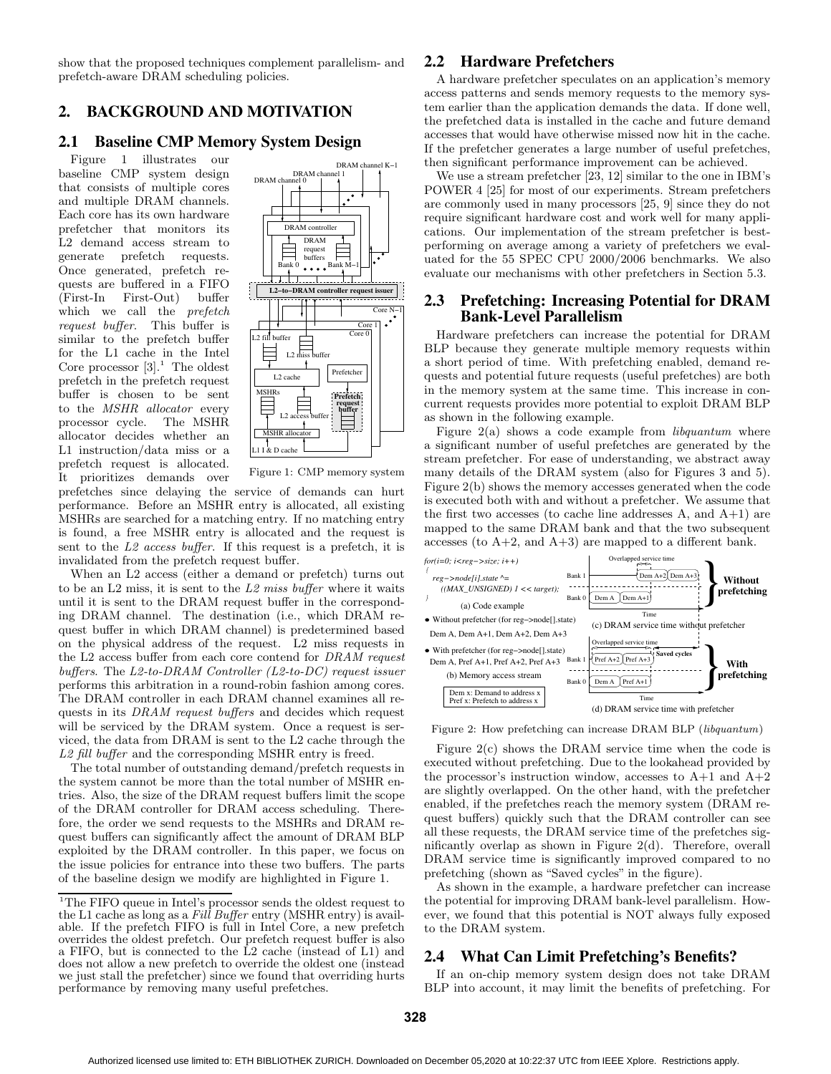show that the proposed techniques complement parallelism- and prefetch-aware DRAM scheduling policies.

# **2. BACKGROUND AND MOTIVATION**

### **2.1 Baseline CMP Memory System Design**

Figure 1 illustrates our baseline CMP system design that consists of multiple cores and multiple DRAM channels. Each core has its own hardware prefetcher that monitors its L2 demand access stream to generate prefetch requests. Once generated, prefetch requests are buffered in a FIFO (First-In First-Out) buffer which we call the *prefetch* request buffer. This buffer is similar to the prefetch buffer for the L1 cache in the Intel Core processor  $[3]$ .<sup>1</sup> The oldest prefetch in the prefetch request buffer is chosen to be sent to the MSHR allocator every processor cycle. The MSHR allocator decides whether an L1 instruction/data miss or a prefetch request is allocated. It prioritizes demands over



Figure 1: CMP memory system

prefetches since delaying the service of demands can hurt performance. Before an MSHR entry is allocated, all existing MSHRs are searched for a matching entry. If no matching entry is found, a free MSHR entry is allocated and the request is sent to the L2 access buffer. If this request is a prefetch, it is invalidated from the prefetch request buffer.

When an L2 access (either a demand or prefetch) turns out to be an  $L2$  miss, it is sent to the  $L2$  miss buffer where it waits until it is sent to the DRAM request buffer in the corresponding DRAM channel. The destination (i.e., which DRAM request buffer in which DRAM channel) is predetermined based on the physical address of the request. L2 miss requests in the L2 access buffer from each core contend for DRAM request buffers. The  $L2$ -to-DRAM Controller (L2-to-DC) request issuer performs this arbitration in a round-robin fashion among cores. The DRAM controller in each DRAM channel examines all requests in its DRAM request buffers and decides which request will be serviced by the DRAM system. Once a request is serviced, the data from DRAM is sent to the L2 cache through the L2 fill buffer and the corresponding MSHR entry is freed.

The total number of outstanding demand/prefetch requests in the system cannot be more than the total number of MSHR entries. Also, the size of the DRAM request buffers limit the scope of the DRAM controller for DRAM access scheduling. Therefore, the order we send requests to the MSHRs and DRAM request buffers can significantly affect the amount of DRAM BLP exploited by the DRAM controller. In this paper, we focus on the issue policies for entrance into these two buffers. The parts of the baseline design we modify are highlighted in Figure 1.

# **2.2 Hardware Prefetchers**

A hardware prefetcher speculates on an application's memory access patterns and sends memory requests to the memory system earlier than the application demands the data. If done well, the prefetched data is installed in the cache and future demand accesses that would have otherwise missed now hit in the cache. If the prefetcher generates a large number of useful prefetches, then significant performance improvement can be achieved.

We use a stream prefetcher [23, 12] similar to the one in IBM's POWER 4 [25] for most of our experiments. Stream prefetchers are commonly used in many processors [25, 9] since they do not require significant hardware cost and work well for many applications. Our implementation of the stream prefetcher is bestperforming on average among a variety of prefetchers we evaluated for the 55 SPEC CPU 2000/2006 benchmarks. We also evaluate our mechanisms with other prefetchers in Section 5.3.

# **2.3 Prefetching: Increasing Potential for DRAM Bank-Level Parallelism**

Hardware prefetchers can increase the potential for DRAM BLP because they generate multiple memory requests within a short period of time. With prefetching enabled, demand requests and potential future requests (useful prefetches) are both in the memory system at the same time. This increase in concurrent requests provides more potential to exploit DRAM BLP as shown in the following example.

Figure  $2(a)$  shows a code example from *libquantum* where a significant number of useful prefetches are generated by the stream prefetcher. For ease of understanding, we abstract away many details of the DRAM system (also for Figures 3 and 5). Figure 2(b) shows the memory accesses generated when the code is executed both with and without a prefetcher. We assume that the first two accesses (to cache line addresses  $A$ , and  $A+1$ ) are mapped to the same DRAM bank and that the two subsequent accesses (to  $A+2$ , and  $A+3$ ) are mapped to a different bank.



Figure 2: How prefetching can increase DRAM BLP (libquantum)

Figure 2(c) shows the DRAM service time when the code is executed without prefetching. Due to the lookahead provided by the processor's instruction window, accesses to  $A+1$  and  $A+2$ are slightly overlapped. On the other hand, with the prefetcher enabled, if the prefetches reach the memory system (DRAM request buffers) quickly such that the DRAM controller can see all these requests, the DRAM service time of the prefetches significantly overlap as shown in Figure 2(d). Therefore, overall DRAM service time is significantly improved compared to no prefetching (shown as "Saved cycles" in the figure).

As shown in the example, a hardware prefetcher can increase the potential for improving DRAM bank-level parallelism. However, we found that this potential is NOT always fully exposed to the DRAM system.

# **2.4 What Can Limit Prefetching's Benefits?**

If an on-chip memory system design does not take DRAM BLP into account, it may limit the benefits of prefetching. For

<sup>&</sup>lt;sup>1</sup>The FIFO queue in Intel's processor sends the oldest request to the L1 cache as long as a Fill Buffer entry (MSHR entry) is available. If the prefetch FIFO is full in Intel Core, a new prefetch overrides the oldest prefetch. Our prefetch request buffer is also a FIFO, but is connected to the L2 cache (instead of L1) and does not allow a new prefetch to override the oldest one (instead we just stall the prefetcher) since we found that overriding hurts performance by removing many useful prefetches.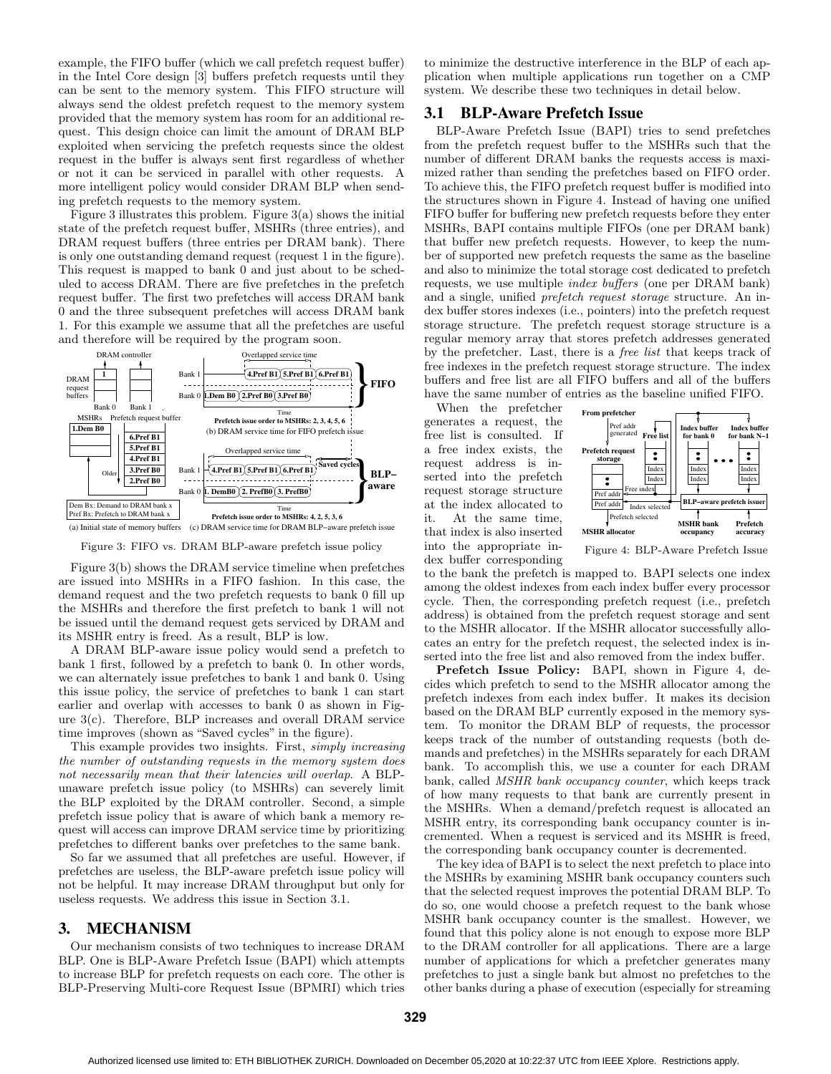example, the FIFO buffer (which we call prefetch request buffer) in the Intel Core design [3] buffers prefetch requests until they can be sent to the memory system. This FIFO structure will always send the oldest prefetch request to the memory system provided that the memory system has room for an additional request. This design choice can limit the amount of DRAM BLP exploited when servicing the prefetch requests since the oldest request in the buffer is always sent first regardless of whether or not it can be serviced in parallel with other requests. A more intelligent policy would consider DRAM BLP when sending prefetch requests to the memory system.

Figure 3 illustrates this problem. Figure  $3(a)$  shows the initial state of the prefetch request buffer, MSHRs (three entries), and DRAM request buffers (three entries per DRAM bank). There is only one outstanding demand request (request 1 in the figure). This request is mapped to bank 0 and just about to be scheduled to access DRAM. There are five prefetches in the prefetch request buffer. The first two prefetches will access DRAM bank 0 and the three subsequent prefetches will access DRAM bank 1. For this example we assume that all the prefetches are useful and therefore will be required by the program soon.



Figure 3: FIFO vs. DRAM BLP-aware prefetch issue policy

Figure 3(b) shows the DRAM service timeline when prefetches are issued into MSHRs in a FIFO fashion. In this case, the demand request and the two prefetch requests to bank 0 fill up the MSHRs and therefore the first prefetch to bank 1 will not be issued until the demand request gets serviced by DRAM and its MSHR entry is freed. As a result, BLP is low.

A DRAM BLP-aware issue policy would send a prefetch to bank 1 first, followed by a prefetch to bank 0. In other words, we can alternately issue prefetches to bank 1 and bank 0. Using this issue policy, the service of prefetches to bank 1 can start earlier and overlap with accesses to bank 0 as shown in Figure 3(c). Therefore, BLP increases and overall DRAM service time improves (shown as "Saved cycles" in the figure).

This example provides two insights. First, simply increasing the number of outstanding requests in the memory system does not necessarily mean that their latencies will overlap. A BLPunaware prefetch issue policy (to MSHRs) can severely limit the BLP exploited by the DRAM controller. Second, a simple prefetch issue policy that is aware of which bank a memory request will access can improve DRAM service time by prioritizing prefetches to different banks over prefetches to the same bank.

So far we assumed that all prefetches are useful. However, if prefetches are useless, the BLP-aware prefetch issue policy will not be helpful. It may increase DRAM throughput but only for useless requests. We address this issue in Section 3.1.

# **3. MECHANISM**

Our mechanism consists of two techniques to increase DRAM BLP. One is BLP-Aware Prefetch Issue (BAPI) which attempts to increase BLP for prefetch requests on each core. The other is BLP-Preserving Multi-core Request Issue (BPMRI) which tries

to minimize the destructive interference in the BLP of each application when multiple applications run together on a CMP system. We describe these two techniques in detail below.

#### **3.1 BLP-Aware Prefetch Issue**

BLP-Aware Prefetch Issue (BAPI) tries to send prefetches from the prefetch request buffer to the MSHRs such that the number of different DRAM banks the requests access is maximized rather than sending the prefetches based on FIFO order. To achieve this, the FIFO prefetch request buffer is modified into the structures shown in Figure 4. Instead of having one unified FIFO buffer for buffering new prefetch requests before they enter MSHRs, BAPI contains multiple FIFOs (one per DRAM bank) that buffer new prefetch requests. However, to keep the number of supported new prefetch requests the same as the baseline and also to minimize the total storage cost dedicated to prefetch requests, we use multiple index buffers (one per DRAM bank) and a single, unified prefetch request storage structure. An index buffer stores indexes (i.e., pointers) into the prefetch request storage structure. The prefetch request storage structure is a regular memory array that stores prefetch addresses generated by the prefetcher. Last, there is a free list that keeps track of free indexes in the prefetch request storage structure. The index buffers and free list are all FIFO buffers and all of the buffers have the same number of entries as the baseline unified FIFO.

When the prefetcher generates a request, the free list is consulted. If a free index exists, the request address is inserted into the prefetch request storage structure at the index allocated to it. At the same time, that index is also inserted into the appropriate index buffer corresponding



Figure 4: BLP-Aware Prefetch Issue

to the bank the prefetch is mapped to. BAPI selects one index among the oldest indexes from each index buffer every processor cycle. Then, the corresponding prefetch request (i.e., prefetch address) is obtained from the prefetch request storage and sent to the MSHR allocator. If the MSHR allocator successfully allocates an entry for the prefetch request, the selected index is inserted into the free list and also removed from the index buffer.

Prefetch Issue Policy: BAPI, shown in Figure 4, decides which prefetch to send to the MSHR allocator among the prefetch indexes from each index buffer. It makes its decision based on the DRAM BLP currently exposed in the memory system. To monitor the DRAM BLP of requests, the processor keeps track of the number of outstanding requests (both demands and prefetches) in the MSHRs separately for each DRAM bank. To accomplish this, we use a counter for each DRAM bank, called MSHR bank occupancy counter, which keeps track of how many requests to that bank are currently present in the MSHRs. When a demand/prefetch request is allocated an MSHR entry, its corresponding bank occupancy counter is incremented. When a request is serviced and its MSHR is freed, the corresponding bank occupancy counter is decremented.

The key idea of BAPI is to select the next prefetch to place into the MSHRs by examining MSHR bank occupancy counters such that the selected request improves the potential DRAM BLP. To do so, one would choose a prefetch request to the bank whose MSHR bank occupancy counter is the smallest. However, we found that this policy alone is not enough to expose more BLP to the DRAM controller for all applications. There are a large number of applications for which a prefetcher generates many prefetches to just a single bank but almost no prefetches to the other banks during a phase of execution (especially for streaming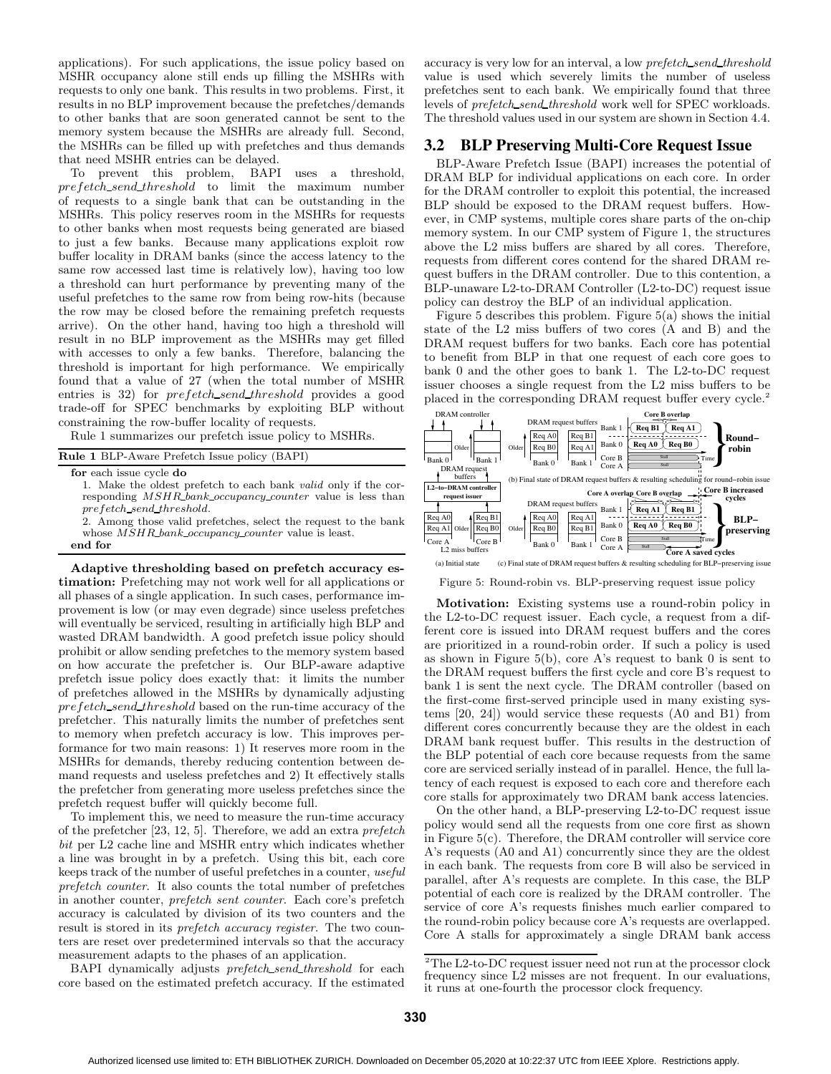applications). For such applications, the issue policy based on MSHR occupancy alone still ends up filling the MSHRs with requests to only one bank. This results in two problems. First, it results in no BLP improvement because the prefetches/demands to other banks that are soon generated cannot be sent to the memory system because the MSHRs are already full. Second, the MSHRs can be filled up with prefetches and thus demands that need MSHR entries can be delayed.

To prevent this problem, BAPI uses a threshold, prefetch send threshold to limit the maximum number of requests to a single bank that can be outstanding in the MSHRs. This policy reserves room in the MSHRs for requests to other banks when most requests being generated are biased to just a few banks. Because many applications exploit row buffer locality in DRAM banks (since the access latency to the same row accessed last time is relatively low), having too low a threshold can hurt performance by preventing many of the useful prefetches to the same row from being row-hits (because the row may be closed before the remaining prefetch requests arrive). On the other hand, having too high a threshold will result in no BLP improvement as the MSHRs may get filled with accesses to only a few banks. Therefore, balancing the threshold is important for high performance. We empirically found that a value of 27 (when the total number of MSHR entries is 32) for  $prefetch\_send\_threshold$  provides a good trade-off for SPEC benchmarks by exploiting BLP without constraining the row-buffer locality of requests.

Rule 1 summarizes our prefetch issue policy to MSHRs.

| <b>Rule 1 BLP-Aware Prefetch Issue policy (BAPI)</b>                   |
|------------------------------------------------------------------------|
| for each issue cycle do                                                |
| 1. Make the oldest prefetch to each bank <i>valid</i> only if the cor- |
| responding <i>MSHR</i> bank occupancy counter value is less than       |
| prefetch_send_threshold.                                               |
| 2. Among those valid prefetches, select the request to the bank        |

whose  $MSHR\_bank\_occupancy\_counter$  value is least. end for

Adaptive thresholding based on prefetch accuracy estimation: Prefetching may not work well for all applications or all phases of a single application. In such cases, performance improvement is low (or may even degrade) since useless prefetches will eventually be serviced, resulting in artificially high BLP and wasted DRAM bandwidth. A good prefetch issue policy should prohibit or allow sending prefetches to the memory system based on how accurate the prefetcher is. Our BLP-aware adaptive prefetch issue policy does exactly that: it limits the number of prefetches allowed in the MSHRs by dynamically adjusting prefetch\_send\_threshold based on the run-time accuracy of the prefetcher. This naturally limits the number of prefetches sent to memory when prefetch accuracy is low. This improves performance for two main reasons: 1) It reserves more room in the MSHRs for demands, thereby reducing contention between demand requests and useless prefetches and 2) It effectively stalls the prefetcher from generating more useless prefetches since the prefetch request buffer will quickly become full.

To implement this, we need to measure the run-time accuracy of the prefetcher [23, 12, 5]. Therefore, we add an extra prefetch bit per L2 cache line and MSHR entry which indicates whether a line was brought in by a prefetch. Using this bit, each core keeps track of the number of useful prefetches in a counter, useful prefetch counter. It also counts the total number of prefetches in another counter, prefetch sent counter. Each core's prefetch accuracy is calculated by division of its two counters and the result is stored in its *prefetch accuracy register*. The two counters are reset over predetermined intervals so that the accuracy measurement adapts to the phases of an application.

BAPI dynamically adjusts *prefetch\_send\_threshold* for each core based on the estimated prefetch accuracy. If the estimated

accuracy is very low for an interval, a low prefetch send threshold value is used which severely limits the number of useless prefetches sent to each bank. We empirically found that three levels of *prefetch\_send\_threshold* work well for SPEC workloads. The threshold values used in our system are shown in Section 4.4.

# **3.2 BLP Preserving Multi-Core Request Issue**

BLP-Aware Prefetch Issue (BAPI) increases the potential of DRAM BLP for individual applications on each core. In order for the DRAM controller to exploit this potential, the increased BLP should be exposed to the DRAM request buffers. However, in CMP systems, multiple cores share parts of the on-chip memory system. In our CMP system of Figure 1, the structures above the L2 miss buffers are shared by all cores. Therefore, requests from different cores contend for the shared DRAM request buffers in the DRAM controller. Due to this contention, a BLP-unaware L2-to-DRAM Controller (L2-to-DC) request issue policy can destroy the BLP of an individual application.

Figure 5 describes this problem. Figure 5(a) shows the initial state of the L2 miss buffers of two cores (A and B) and the DRAM request buffers for two banks. Each core has potential to benefit from BLP in that one request of each core goes to bank 0 and the other goes to bank 1. The L2-to-DC request issuer chooses a single request from the L2 miss buffers to be placed in the corresponding DRAM request buffer every cycle.<sup>2</sup>



Figure 5: Round-robin vs. BLP-preserving request issue policy

Motivation: Existing systems use a round-robin policy in the L2-to-DC request issuer. Each cycle, a request from a different core is issued into DRAM request buffers and the cores are prioritized in a round-robin order. If such a policy is used as shown in Figure 5(b), core A's request to bank 0 is sent to the DRAM request buffers the first cycle and core B's request to bank 1 is sent the next cycle. The DRAM controller (based on the first-come first-served principle used in many existing systems [20, 24]) would service these requests (A0 and B1) from different cores concurrently because they are the oldest in each DRAM bank request buffer. This results in the destruction of the BLP potential of each core because requests from the same core are serviced serially instead of in parallel. Hence, the full latency of each request is exposed to each core and therefore each core stalls for approximately two DRAM bank access latencies.

On the other hand, a BLP-preserving L2-to-DC request issue policy would send all the requests from one core first as shown in Figure 5(c). Therefore, the DRAM controller will service core A's requests (A0 and A1) concurrently since they are the oldest in each bank. The requests from core B will also be serviced in parallel, after A's requests are complete. In this case, the BLP potential of each core is realized by the DRAM controller. The service of core A's requests finishes much earlier compared to the round-robin policy because core A's requests are overlapped. Core A stalls for approximately a single DRAM bank access

 $\rm{^2The}$  L2-to-DC request issuer need not run at the processor clock frequency since L2 misses are not frequent. In our evaluations, it runs at one-fourth the processor clock frequency.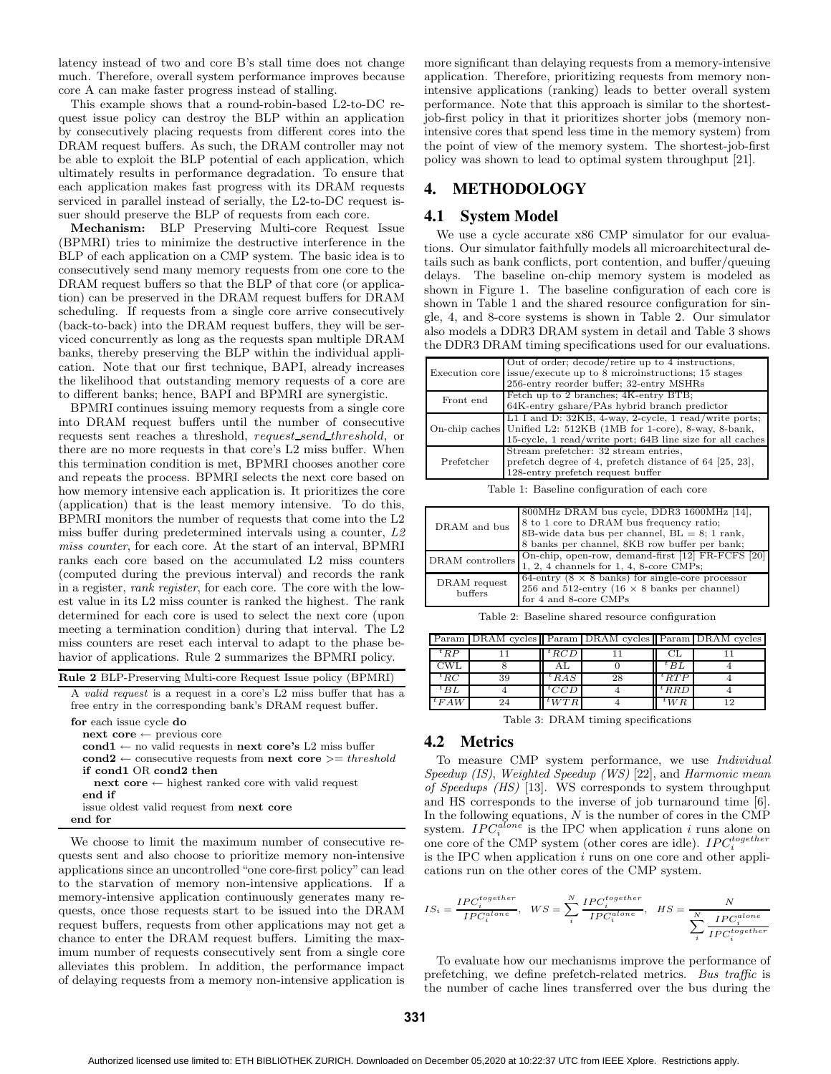latency instead of two and core B's stall time does not change much. Therefore, overall system performance improves because core A can make faster progress instead of stalling.

This example shows that a round-robin-based L2-to-DC request issue policy can destroy the BLP within an application by consecutively placing requests from different cores into the DRAM request buffers. As such, the DRAM controller may not be able to exploit the BLP potential of each application, which ultimately results in performance degradation. To ensure that each application makes fast progress with its DRAM requests serviced in parallel instead of serially, the L2-to-DC request issuer should preserve the BLP of requests from each core.

Mechanism: BLP Preserving Multi-core Request Issue (BPMRI) tries to minimize the destructive interference in the BLP of each application on a CMP system. The basic idea is to consecutively send many memory requests from one core to the DRAM request buffers so that the BLP of that core (or application) can be preserved in the DRAM request buffers for DRAM scheduling. If requests from a single core arrive consecutively (back-to-back) into the DRAM request buffers, they will be serviced concurrently as long as the requests span multiple DRAM banks, thereby preserving the BLP within the individual application. Note that our first technique, BAPI, already increases the likelihood that outstanding memory requests of a core are to different banks; hence, BAPI and BPMRI are synergistic.

BPMRI continues issuing memory requests from a single core into DRAM request buffers until the number of consecutive requests sent reaches a threshold, request\_send\_threshold, or there are no more requests in that core's L2 miss buffer. When this termination condition is met, BPMRI chooses another core and repeats the process. BPMRI selects the next core based on how memory intensive each application is. It prioritizes the core (application) that is the least memory intensive. To do this, BPMRI monitors the number of requests that come into the L2 miss buffer during predetermined intervals using a counter, L2 miss counter, for each core. At the start of an interval, BPMRI ranks each core based on the accumulated L2 miss counters (computed during the previous interval) and records the rank in a register, rank register, for each core. The core with the lowest value in its L2 miss counter is ranked the highest. The rank determined for each core is used to select the next core (upon meeting a termination condition) during that interval. The L2 miss counters are reset each interval to adapt to the phase behavior of applications. Rule 2 summarizes the BPMRI policy.

Rule 2 BLP-Preserving Multi-core Request Issue policy (BPMRI)

A valid request is a request in a core's L2 miss buffer that has a free entry in the corresponding bank's DRAM request buffer.

for each issue cycle do

- next core ← previous core
- $\mathbf{cond1}\leftarrow$  no valid requests in  $\mathbf{next}$  core's L2 miss buffer
- $\text{cond2} \leftarrow$  consecutive requests from next  $\text{core} \geq t$  hreshold if cond1 OR cond2 then
- next core ← highest ranked core with valid request
- end if
- issue oldest valid request from next core

end for

We choose to limit the maximum number of consecutive requests sent and also choose to prioritize memory non-intensive applications since an uncontrolled "one core-first policy" can lead to the starvation of memory non-intensive applications. If a memory-intensive application continuously generates many requests, once those requests start to be issued into the DRAM request buffers, requests from other applications may not get a chance to enter the DRAM request buffers. Limiting the maximum number of requests consecutively sent from a single core alleviates this problem. In addition, the performance impact of delaying requests from a memory non-intensive application is

more significant than delaying requests from a memory-intensive application. Therefore, prioritizing requests from memory nonintensive applications (ranking) leads to better overall system performance. Note that this approach is similar to the shortestjob-first policy in that it prioritizes shorter jobs (memory nonintensive cores that spend less time in the memory system) from the point of view of the memory system. The shortest-job-first policy was shown to lead to optimal system throughput [21].

# **4. METHODOLOGY**

#### **4.1 System Model**

We use a cycle accurate x86 CMP simulator for our evaluations. Our simulator faithfully models all microarchitectural details such as bank conflicts, port contention, and buffer/queuing delays. The baseline on-chip memory system is modeled as shown in Figure 1. The baseline configuration of each core is shown in Table 1 and the shared resource configuration for single, 4, and 8-core systems is shown in Table 2. Our simulator also models a DDR3 DRAM system in detail and Table 3 shows the DDR3 DRAM timing specifications used for our evaluations.

|            | Out of order; decode/retire up to 4 instructions,<br>Execution core issue/execute up to 8 microinstructions; 15 stages<br>256-entry reorder buffer; 32-entry MSHRs |
|------------|--------------------------------------------------------------------------------------------------------------------------------------------------------------------|
| Front end  | Fetch up to 2 branches; 4K-entry BTB;                                                                                                                              |
|            | 64K-entry gshare/PAs hybrid branch predictor                                                                                                                       |
|            | L1 I and D: 32KB, 4-way, 2-cycle, 1 read/write ports;<br>On-chip caches Unified L2: 512KB (1MB for 1-core), 8-way, 8-bank,                                         |
|            | 15-cycle, 1 read/write port; 64B line size for all caches                                                                                                          |
|            | Stream prefetcher: 32 stream entries,                                                                                                                              |
| Prefetcher | prefetch degree of 4, prefetch distance of 64 [25, 23],                                                                                                            |
|            | 128-entry prefetch request buffer                                                                                                                                  |

Table 1: Baseline configuration of each core

| DRAM and bus            | 800MHz DRAM bus cycle, DDR3 1600MHz [14],<br>8 to 1 core to DRAM bus frequency ratio;<br>8B-wide data bus per channel, $BL = 8$ ; 1 rank,<br>8 banks per channel, 8KB row buffer per bank; |
|-------------------------|--------------------------------------------------------------------------------------------------------------------------------------------------------------------------------------------|
| DRAM controllers        | On-chip, open-row, demand-first [12] FR-FCFS [20]<br>1, 2, 4 channels for 1, 4, 8-core $\dot{CMPs}$ ;                                                                                      |
| DRAM request<br>buffers | 64-entry ( $8 \times 8$ banks) for single-core processor<br>256 and 512-entry (16 $\times$ 8 banks per channel)<br>for 4 and 8-core CMPs                                                   |

Table 2: Baseline shared resource configuration

|                                  | Param DRAM cycles Param DRAM cycles Param DRAM cycles |           |    |            |     |  |  |  |  |  |
|----------------------------------|-------------------------------------------------------|-----------|----|------------|-----|--|--|--|--|--|
| ${}^tRP$                         |                                                       | ${}^tRCD$ |    | СL         |     |  |  |  |  |  |
| <b>CWL</b>                       |                                                       | AΙ        |    | $t$ BL     |     |  |  |  |  |  |
| ${}^tRC$                         | 39                                                    | ${}^tRAS$ | 28 | $^t$ RT P  |     |  |  |  |  |  |
| ${}^tBL$                         |                                                       | ${}^tCCD$ |    | ${}^t$ RRD |     |  |  |  |  |  |
| ${}^tFAW$                        | 24                                                    | $t_{WTR}$ |    | $^tWR$     | 1 Q |  |  |  |  |  |
| $m11a$ pp $M1$<br>$\cdot$ $\sim$ |                                                       |           |    |            |     |  |  |  |  |  |

Table 3: DRAM timing specifications

### **4.2 Metrics**

To measure CMP system performance, we use Individual Speedup (IS), Weighted Speedup (WS) [22], and Harmonic mean of Speedups (HS) [13]. WS corresponds to system throughput and HS corresponds to the inverse of job turnaround time [6]. In the following equations, N is the number of cores in the CMP system.  $IPC_i^{alone}$  is the IPC when application i runs alone on one core of the CMP system (other cores are idle).  $IPC_i^{together}$ is the IPC when application  $i$  runs on one core and other applications run on the other cores of the CMP system.

$$
IS_i = \frac{IPC^{together}_i}{IPC^{alone}_i}, \ \ WS = \sum_i^N \frac{IPC^{together}_i}{IPC^{alone}_i}, \ \ HS = \frac{N}{\sum_i \frac{IPC^{alone}_i}{IPC^{together}_i}}
$$

To evaluate how our mechanisms improve the performance of prefetching, we define prefetch-related metrics. Bus traffic is the number of cache lines transferred over the bus during the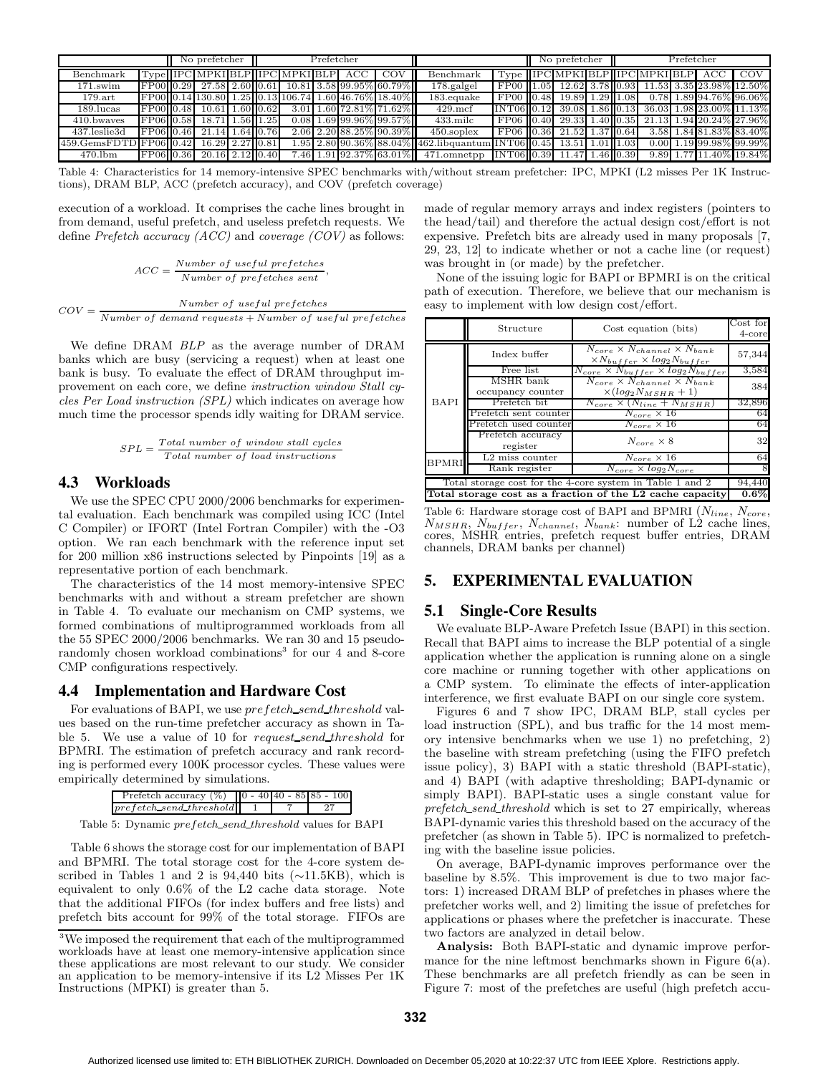|                                | No prefetcher |  |                 |  | Prefetcher |                                  |  | No prefetcher |                                                      |                                                                      | Prefetcher                          |  |  |  |                                   |  |         |                                                              |
|--------------------------------|---------------|--|-----------------|--|------------|----------------------------------|--|---------------|------------------------------------------------------|----------------------------------------------------------------------|-------------------------------------|--|--|--|-----------------------------------|--|---------|--------------------------------------------------------------|
| Benchmark                      |               |  |                 |  |            | Type  IPC MPKI BLP  IPC MPKI BLP |  | ACC           |                                                      | Benchmark                                                            |                                     |  |  |  | Type   IPC MPKI BLP  IPC MPKI BLP |  | ACC COV |                                                              |
| $171$ .swim                    | FP0010.29     |  |                 |  |            |                                  |  |               | 27.58 2.60 0.61 10.81 3.58 99.95% 60.79%             | $178$ galgel                                                         | FP00 1.05 12.62 3.78 0.93           |  |  |  |                                   |  |         | 11.53 3.35 23.98% 12.50%                                     |
| $179.\text{art}$               |               |  |                 |  |            |                                  |  |               | FP00 0.14 130.80 1.25 0.13 106.74 1.60 46.76% 18.40% | $183$ .equake                                                        | FP00 0.48 19.89 1.29 1.08           |  |  |  |                                   |  |         | $0.78$ 1.89 94.76% 96.06%                                    |
| $189$ .lucas                   | FP0010.48     |  | 10.61 1.60 0.62 |  |            |                                  |  |               | 3.01 1.60 72.81% 71.62%                              | $429$ .mcf                                                           |                                     |  |  |  |                                   |  |         | $[INT06][0.12]$ 39.08 1.86 $[0.13]$ 36.03 1.98 23.00% 11.13% |
| 410.bwayes                     | FP06 0.58     |  | 18.71 1.56 1.25 |  |            |                                  |  |               | $0.08$ 1.69 99.96% 99.57%                            | $433$ .milc                                                          | FP06 0.40 29.33 1.40 0.35           |  |  |  |                                   |  |         | 21.13 1.94 20.24% 27.96%                                     |
| 437.leslie3d                   | FP0610.46     |  | 21.14 1.64 0.76 |  |            |                                  |  |               | 2.06 2.20 88.25% 90.39%                              | $450$ soplex                                                         | FP06 0.36 21.52 1.37 0.64           |  |  |  |                                   |  |         | 3.58 1.84 81.83% 83.40%                                      |
| $459.GemsFDTD$ $FP06$ $ 0.42 $ |               |  | 16.29 2.27 0.81 |  |            |                                  |  |               |                                                      | $1.95$ 2.80 90.36% 88.04% 462.lib quantum INT06 0.45 13.51 1.01 1.03 |                                     |  |  |  |                                   |  |         | $0.0011.19199.98\%199.99\%$                                  |
| $470$ .lbm                     | FP06 0.36     |  | 20.16 2.12 0.40 |  |            |                                  |  |               |                                                      | 7.46 1.91 92.37% 63.01% 471.omnetpp                                  | $\text{INT06}$ 0.39 11.47 1.46 0.39 |  |  |  |                                   |  |         | 9.89 1.77 11.40% 19.84%                                      |

Table 4: Characteristics for 14 memory-intensive SPEC benchmarks with/without stream prefetcher: IPC, MPKI (L2 misses Per 1K Instructions), DRAM BLP, ACC (prefetch accuracy), and COV (prefetch coverage)

execution of a workload. It comprises the cache lines brought in from demand, useful prefetch, and useless prefetch requests. We define Prefetch accuracy  $(ACC)$  and coverage  $(COV)$  as follows:

$$
ACC = \frac{Number\ of\ useful\ prefetches}{Number\ of\ prefetches\ sent},
$$

$$
COV = \frac{Number\ of\ useful\ prefetches}{Number\ of\ demand\ requests + Number\ of\ useful\ prefetches}
$$

We define DRAM BLP as the average number of DRAM banks which are busy (servicing a request) when at least one bank is busy. To evaluate the effect of DRAM throughput improvement on each core, we define instruction window Stall cycles Per Load instruction (SPL) which indicates on average how much time the processor spends idly waiting for DRAM service.

$$
SPL = \frac{Total\ number\ of\ window\ stall\ cycles}{Total\ number\ of\ load\ instructions}
$$

# **4.3 Workloads**

We use the SPEC CPU 2000/2006 benchmarks for experimental evaluation. Each benchmark was compiled using ICC (Intel C Compiler) or IFORT (Intel Fortran Compiler) with the -O3 option. We ran each benchmark with the reference input set for 200 million x86 instructions selected by Pinpoints [19] as a representative portion of each benchmark.

The characteristics of the 14 most memory-intensive SPEC benchmarks with and without a stream prefetcher are shown in Table 4. To evaluate our mechanism on CMP systems, we formed combinations of multiprogrammed workloads from all the 55 SPEC 2000/2006 benchmarks. We ran 30 and 15 pseudorandomly chosen workload combinations<sup>3</sup> for our 4 and 8-core CMP configurations respectively.

# **4.4 Implementation and Hardware Cost**

For evaluations of BAPI, we use prefetch\_send\_threshold values based on the run-time prefetcher accuracy as shown in Table 5. We use a value of 10 for request\_send\_threshold for BPMRI. The estimation of prefetch accuracy and rank recording is performed every 100K processor cycles. These values were empirically determined by simulations.

| Prefetch accuracy $(\%)$   0 - 40 40 - 85 85 - 100 |  |  |  |
|----------------------------------------------------|--|--|--|
| $prefetch\_send\_threshold$                        |  |  |  |
|                                                    |  |  |  |

Table 5: Dynamic prefetch\_send\_threshold values for BAPI

Table 6 shows the storage cost for our implementation of BAPI and BPMRI. The total storage cost for the 4-core system described in Tables 1 and 2 is 94,440 bits ( $\sim$ 11.5KB), which is equivalent to only 0.6% of the L2 cache data storage. Note that the additional FIFOs (for index buffers and free lists) and prefetch bits account for 99% of the total storage. FIFOs are

made of regular memory arrays and index registers (pointers to the head/tail) and therefore the actual design cost/effort is not expensive. Prefetch bits are already used in many proposals [7, 29, 23, 12] to indicate whether or not a cache line (or request) was brought in (or made) by the prefetcher.

None of the issuing logic for BAPI or BPMRI is on the critical path of execution. Therefore, we believe that our mechanism is easy to implement with low design cost/effort.

|              | Structure                                                           | Cost equation (bits)                                                                                    | Cost for<br>$4$ -core |  |  |  |  |  |  |
|--------------|---------------------------------------------------------------------|---------------------------------------------------------------------------------------------------------|-----------------------|--|--|--|--|--|--|
|              | Index buffer                                                        | $\overline{N_{core}} \times N_{channel} \times N_{bank}$<br>$\times N_{buffer} \times log_2 N_{buffer}$ | 57,344                |  |  |  |  |  |  |
|              | Free list                                                           | $N_{core} \times N_{buffer} \times log_2 N_{buffer}$                                                    | 3,584                 |  |  |  |  |  |  |
|              | MSHR bank<br>occupancy counter                                      | $N_{core} \times N_{channel} \times N_{bank}$<br>$\times (log_2 N_{MSHR} + 1)$                          | 384                   |  |  |  |  |  |  |
| <b>BAPI</b>  | Prefetch bit                                                        | $N_{core} \times (N_{line} + N_{MSHR})$                                                                 | 32,896                |  |  |  |  |  |  |
|              | Prefetch sent counter                                               | $N_{core} \times 16$                                                                                    | 64                    |  |  |  |  |  |  |
|              | Prefetch used counter                                               | $N_{core} \times 16$                                                                                    | 64                    |  |  |  |  |  |  |
|              | Prefetch accuracy<br>register                                       | $N_{core} \times 8$                                                                                     | 32                    |  |  |  |  |  |  |
| <b>BPMRI</b> | $L2$ miss counter                                                   | $N_{core} \times 16$                                                                                    | 64                    |  |  |  |  |  |  |
|              | Rank register                                                       | $N_{core} \times log_2 N_{core}$                                                                        | 8                     |  |  |  |  |  |  |
|              | Total storage cost for the 4-core system in Table 1 and 2<br>94,440 |                                                                                                         |                       |  |  |  |  |  |  |
|              |                                                                     | Total storage cost as a fraction of the L2 cache capacity                                               | $0.6\%$               |  |  |  |  |  |  |

Table 6: Hardware storage cost of BAPI and BPMRI  $(N_{line}, N_{core}, N_{core})$  $N_{MSHR}$ ,  $N_{buffer}$ ,  $N_{channel}$ ,  $N_{bank}$ : number of  $L2$  cache lines, cores, MSHR entries, prefetch request buffer entries, DRAM channels, DRAM banks per channel)

# **5. EXPERIMENTAL EVALUATION**

# **5.1 Single-Core Results**

We evaluate BLP-Aware Prefetch Issue (BAPI) in this section. Recall that BAPI aims to increase the BLP potential of a single application whether the application is running alone on a single core machine or running together with other applications on a CMP system. To eliminate the effects of inter-application interference, we first evaluate BAPI on our single core system.

Figures 6 and 7 show IPC, DRAM BLP, stall cycles per load instruction (SPL), and bus traffic for the 14 most memory intensive benchmarks when we use 1) no prefetching, 2) the baseline with stream prefetching (using the FIFO prefetch issue policy), 3) BAPI with a static threshold (BAPI-static), and 4) BAPI (with adaptive thresholding; BAPI-dynamic or simply BAPI). BAPI-static uses a single constant value for prefetch\_send\_threshold which is set to 27 empirically, whereas BAPI-dynamic varies this threshold based on the accuracy of the prefetcher (as shown in Table 5). IPC is normalized to prefetching with the baseline issue policies.

On average, BAPI-dynamic improves performance over the baseline by 8.5%. This improvement is due to two major factors: 1) increased DRAM BLP of prefetches in phases where the prefetcher works well, and 2) limiting the issue of prefetches for applications or phases where the prefetcher is inaccurate. These two factors are analyzed in detail below.

Analysis: Both BAPI-static and dynamic improve performance for the nine leftmost benchmarks shown in Figure 6(a). These benchmarks are all prefetch friendly as can be seen in Figure 7: most of the prefetches are useful (high prefetch accu-

<sup>3</sup>We imposed the requirement that each of the multiprogrammed workloads have at least one memory-intensive application since these applications are most relevant to our study. We consider an application to be memory-intensive if its L2 Misses Per 1K Instructions (MPKI) is greater than 5.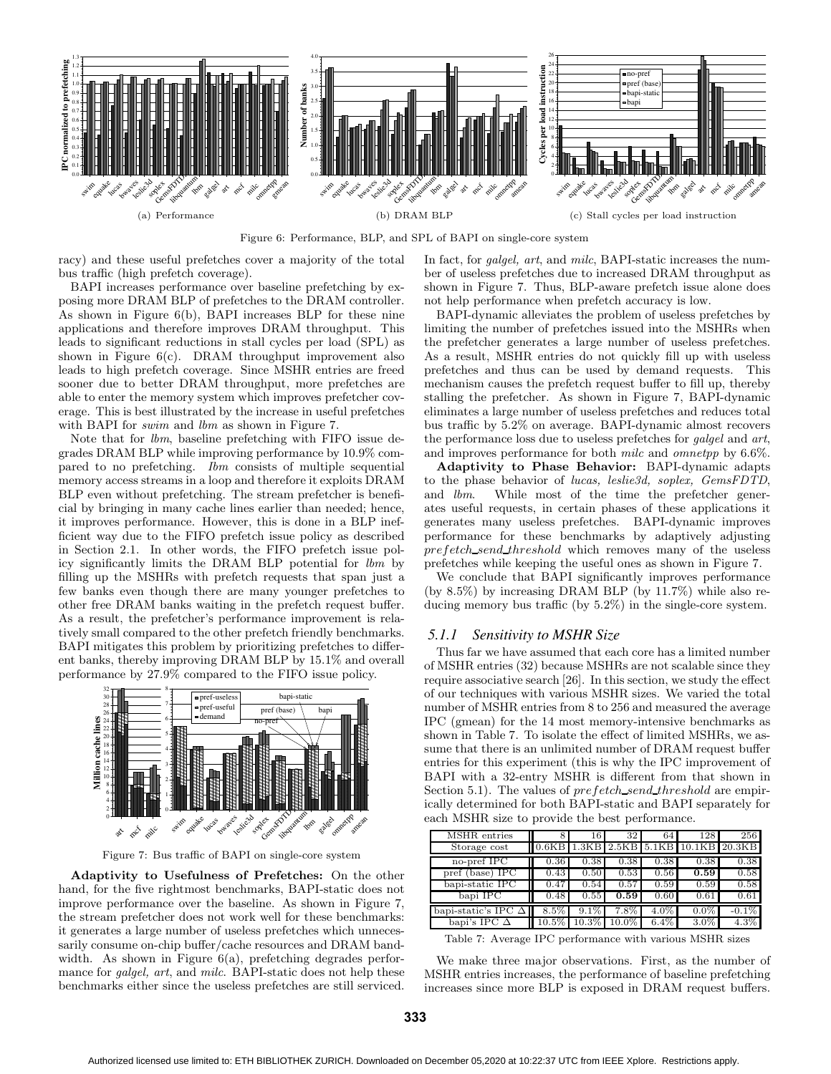

Figure 6: Performance, BLP, and SPL of BAPI on single-core system

racy) and these useful prefetches cover a majority of the total bus traffic (high prefetch coverage).

BAPI increases performance over baseline prefetching by exposing more DRAM BLP of prefetches to the DRAM controller. As shown in Figure 6(b), BAPI increases BLP for these nine applications and therefore improves DRAM throughput. This leads to significant reductions in stall cycles per load (SPL) as shown in Figure  $6(c)$ . DRAM throughput improvement also leads to high prefetch coverage. Since MSHR entries are freed sooner due to better DRAM throughput, more prefetches are able to enter the memory system which improves prefetcher coverage. This is best illustrated by the increase in useful prefetches with BAPI for *swim* and *lbm* as shown in Figure 7.

Note that for lbm, baseline prefetching with FIFO issue degrades DRAM BLP while improving performance by 10.9% compared to no prefetching. Ibm consists of multiple sequential memory access streams in a loop and therefore it exploits DRAM BLP even without prefetching. The stream prefetcher is beneficial by bringing in many cache lines earlier than needed; hence, it improves performance. However, this is done in a BLP inefficient way due to the FIFO prefetch issue policy as described in Section 2.1. In other words, the FIFO prefetch issue policy significantly limits the DRAM BLP potential for lbm by filling up the MSHRs with prefetch requests that span just a few banks even though there are many younger prefetches to other free DRAM banks waiting in the prefetch request buffer. As a result, the prefetcher's performance improvement is relatively small compared to the other prefetch friendly benchmarks. BAPI mitigates this problem by prioritizing prefetches to different banks, thereby improving DRAM BLP by 15.1% and overall performance by 27.9% compared to the FIFO issue policy.



Figure 7: Bus traffic of BAPI on single-core system

Adaptivity to Usefulness of Prefetches: On the other hand, for the five rightmost benchmarks, BAPI-static does not improve performance over the baseline. As shown in Figure 7, the stream prefetcher does not work well for these benchmarks: it generates a large number of useless prefetches which unnecessarily consume on-chip buffer/cache resources and DRAM bandwidth. As shown in Figure 6(a), prefetching degrades performance for *galgel, art,* and *milc.* BAPI-static does not help these benchmarks either since the useless prefetches are still serviced.

In fact, for galgel, art, and milc, BAPI-static increases the number of useless prefetches due to increased DRAM throughput as shown in Figure 7. Thus, BLP-aware prefetch issue alone does not help performance when prefetch accuracy is low.

BAPI-dynamic alleviates the problem of useless prefetches by limiting the number of prefetches issued into the MSHRs when the prefetcher generates a large number of useless prefetches. As a result, MSHR entries do not quickly fill up with useless prefetches and thus can be used by demand requests. This mechanism causes the prefetch request buffer to fill up, thereby stalling the prefetcher. As shown in Figure 7, BAPI-dynamic eliminates a large number of useless prefetches and reduces total bus traffic by 5.2% on average. BAPI-dynamic almost recovers the performance loss due to useless prefetches for galgel and art, and improves performance for both milc and omnetpp by 6.6%.

Adaptivity to Phase Behavior: BAPI-dynamic adapts to the phase behavior of lucas, leslie3d, soplex, GemsFDTD, and lbm. While most of the time the prefetcher generates useful requests, in certain phases of these applications it generates many useless prefetches. BAPI-dynamic improves performance for these benchmarks by adaptively adjusting prefetch send threshold which removes many of the useless prefetches while keeping the useful ones as shown in Figure 7.

We conclude that BAPI significantly improves performance (by 8.5%) by increasing DRAM BLP (by 11.7%) while also reducing memory bus traffic (by 5.2%) in the single-core system.

#### *5.1.1 Sensitivity to MSHR Size*

Thus far we have assumed that each core has a limited number of MSHR entries (32) because MSHRs are not scalable since they require associative search [26]. In this section, we study the effect of our techniques with various MSHR sizes. We varied the total number of MSHR entries from 8 to 256 and measured the average IPC (gmean) for the 14 most memory-intensive benchmarks as shown in Table 7. To isolate the effect of limited MSHRs, we assume that there is an unlimited number of DRAM request buffer entries for this experiment (this is why the IPC improvement of BAPI with a 32-entry MSHR is different from that shown in Section 5.1). The values of *prefetch\_send\_threshold* are empirically determined for both BAPI-static and BAPI separately for each MSHR size to provide the best performance.

| MSHR entries               |          | 16       | 32       | 64      | 128     | 256      |
|----------------------------|----------|----------|----------|---------|---------|----------|
| Storage cost               | 0.6KB    | 1.3KB    | 2.5KB    | 5.1KB   | 10.1KB  | 20.3KB   |
| no-pref IPC                | 0.36     | 0.38     | 0.38     | 0.38    | 0.38    | 0.38     |
| pref (base) IPC            | 0.43     | 0.50     | 0.53     | 0.56    | 0.59    | 0.58     |
| bapi-static IPC            | 0.47     | 0.54     | 0.57     | 0.59    | 0.59    | 0.58     |
| bapi IPC                   | 0.48     | 0.55     | 0.59     | 0.60    | 0.61    | 0.61     |
| bapi-static's IPC $\Delta$ | 8.5%     | 9.1%     | $7.8\%$  | $4.0\%$ | $0.0\%$ | $-0.1\%$ |
| bapi's IPC                 | $10.5\%$ | $10.3\%$ | $10.0\%$ | $6.4\%$ | $3.0\%$ | $4.3\%$  |

Table 7: Average IPC performance with various MSHR sizes

We make three major observations. First, as the number of MSHR entries increases, the performance of baseline prefetching increases since more BLP is exposed in DRAM request buffers.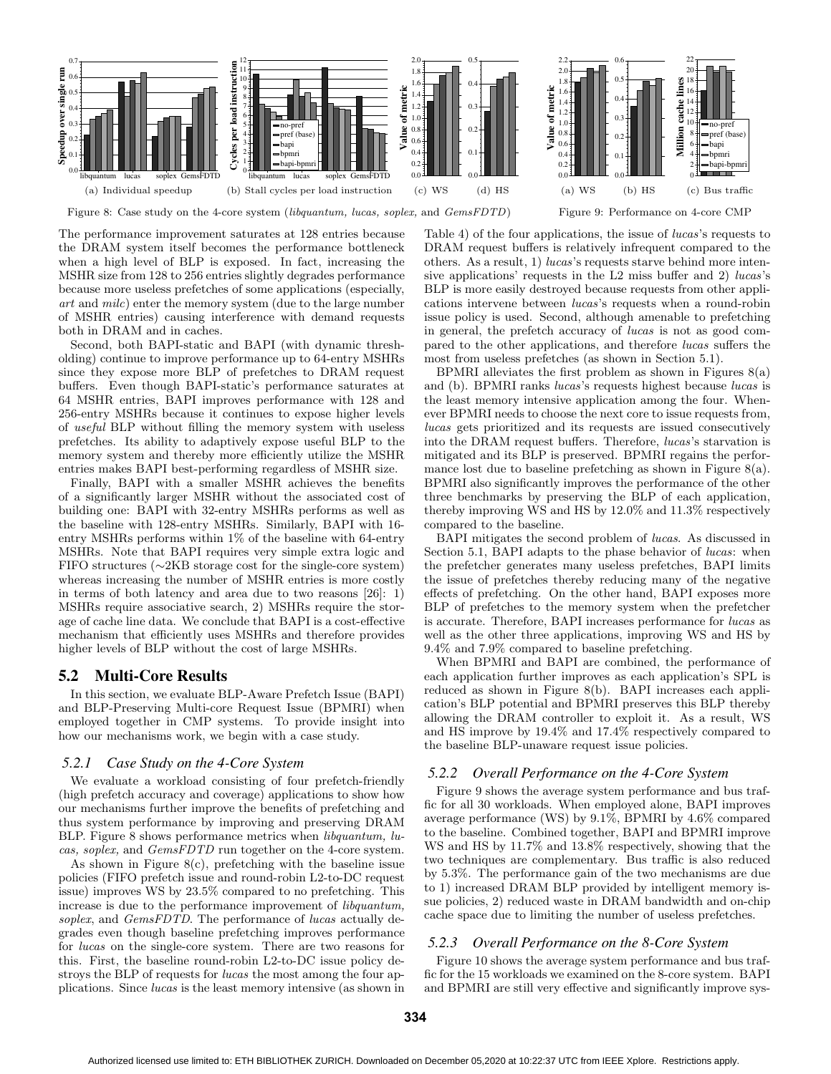

Figure 8: Case study on the 4-core system (libquantum, lucas, soplex, and GemsFDTD)

The performance improvement saturates at 128 entries because the DRAM system itself becomes the performance bottleneck when a high level of BLP is exposed. In fact, increasing the MSHR size from 128 to 256 entries slightly degrades performance because more useless prefetches of some applications (especially, art and milc) enter the memory system (due to the large number of MSHR entries) causing interference with demand requests both in DRAM and in caches.

Second, both BAPI-static and BAPI (with dynamic thresholding) continue to improve performance up to 64-entry MSHRs since they expose more BLP of prefetches to DRAM request buffers. Even though BAPI-static's performance saturates at 64 MSHR entries, BAPI improves performance with 128 and 256-entry MSHRs because it continues to expose higher levels of useful BLP without filling the memory system with useless prefetches. Its ability to adaptively expose useful BLP to the memory system and thereby more efficiently utilize the MSHR entries makes BAPI best-performing regardless of MSHR size.

Finally, BAPI with a smaller MSHR achieves the benefits of a significantly larger MSHR without the associated cost of building one: BAPI with 32-entry MSHRs performs as well as the baseline with 128-entry MSHRs. Similarly, BAPI with 16 entry MSHRs performs within 1% of the baseline with 64-entry MSHRs. Note that BAPI requires very simple extra logic and FIFO structures (∼2KB storage cost for the single-core system) whereas increasing the number of MSHR entries is more costly in terms of both latency and area due to two reasons [26]: 1) MSHRs require associative search, 2) MSHRs require the storage of cache line data. We conclude that BAPI is a cost-effective mechanism that efficiently uses MSHRs and therefore provides higher levels of BLP without the cost of large MSHRs.

### **5.2 Multi-Core Results**

In this section, we evaluate BLP-Aware Prefetch Issue (BAPI) and BLP-Preserving Multi-core Request Issue (BPMRI) when employed together in CMP systems. To provide insight into how our mechanisms work, we begin with a case study.

#### *5.2.1 Case Study on the 4-Core System*

We evaluate a workload consisting of four prefetch-friendly (high prefetch accuracy and coverage) applications to show how our mechanisms further improve the benefits of prefetching and thus system performance by improving and preserving DRAM BLP. Figure 8 shows performance metrics when *libquantum*, *lu*cas, soplex, and GemsFDTD run together on the 4-core system.

As shown in Figure 8(c), prefetching with the baseline issue policies (FIFO prefetch issue and round-robin L2-to-DC request issue) improves WS by 23.5% compared to no prefetching. This increase is due to the performance improvement of libquantum, soplex, and *GemsFDTD*. The performance of *lucas* actually degrades even though baseline prefetching improves performance for lucas on the single-core system. There are two reasons for this. First, the baseline round-robin L2-to-DC issue policy destroys the BLP of requests for lucas the most among the four applications. Since lucas is the least memory intensive (as shown in Table 4) of the four applications, the issue of lucas's requests to DRAM request buffers is relatively infrequent compared to the others. As a result, 1) lucas's requests starve behind more intensive applications' requests in the L2 miss buffer and 2) lucas's BLP is more easily destroyed because requests from other applications intervene between lucas's requests when a round-robin issue policy is used. Second, although amenable to prefetching in general, the prefetch accuracy of lucas is not as good compared to the other applications, and therefore lucas suffers the most from useless prefetches (as shown in Section 5.1).

BPMRI alleviates the first problem as shown in Figures  $8(a)$ and (b). BPMRI ranks lucas's requests highest because lucas is the least memory intensive application among the four. Whenever BPMRI needs to choose the next core to issue requests from, lucas gets prioritized and its requests are issued consecutively into the DRAM request buffers. Therefore, lucas's starvation is mitigated and its BLP is preserved. BPMRI regains the performance lost due to baseline prefetching as shown in Figure 8(a). BPMRI also significantly improves the performance of the other three benchmarks by preserving the BLP of each application, thereby improving WS and HS by 12.0% and 11.3% respectively compared to the baseline.

BAPI mitigates the second problem of lucas. As discussed in Section 5.1, BAPI adapts to the phase behavior of *lucas*: when the prefetcher generates many useless prefetches, BAPI limits the issue of prefetches thereby reducing many of the negative effects of prefetching. On the other hand, BAPI exposes more BLP of prefetches to the memory system when the prefetcher is accurate. Therefore, BAPI increases performance for lucas as well as the other three applications, improving WS and HS by 9.4% and 7.9% compared to baseline prefetching.

When BPMRI and BAPI are combined, the performance of each application further improves as each application's SPL is reduced as shown in Figure 8(b). BAPI increases each application's BLP potential and BPMRI preserves this BLP thereby allowing the DRAM controller to exploit it. As a result, WS and HS improve by 19.4% and 17.4% respectively compared to the baseline BLP-unaware request issue policies.

#### *5.2.2 Overall Performance on the 4-Core System*

Figure 9 shows the average system performance and bus traffic for all 30 workloads. When employed alone, BAPI improves average performance (WS) by 9.1%, BPMRI by 4.6% compared to the baseline. Combined together, BAPI and BPMRI improve WS and HS by 11.7% and 13.8% respectively, showing that the two techniques are complementary. Bus traffic is also reduced by 5.3%. The performance gain of the two mechanisms are due to 1) increased DRAM BLP provided by intelligent memory issue policies, 2) reduced waste in DRAM bandwidth and on-chip cache space due to limiting the number of useless prefetches.

#### *5.2.3 Overall Performance on the 8-Core System*

Figure 10 shows the average system performance and bus traffic for the 15 workloads we examined on the 8-core system. BAPI and BPMRI are still very effective and significantly improve sys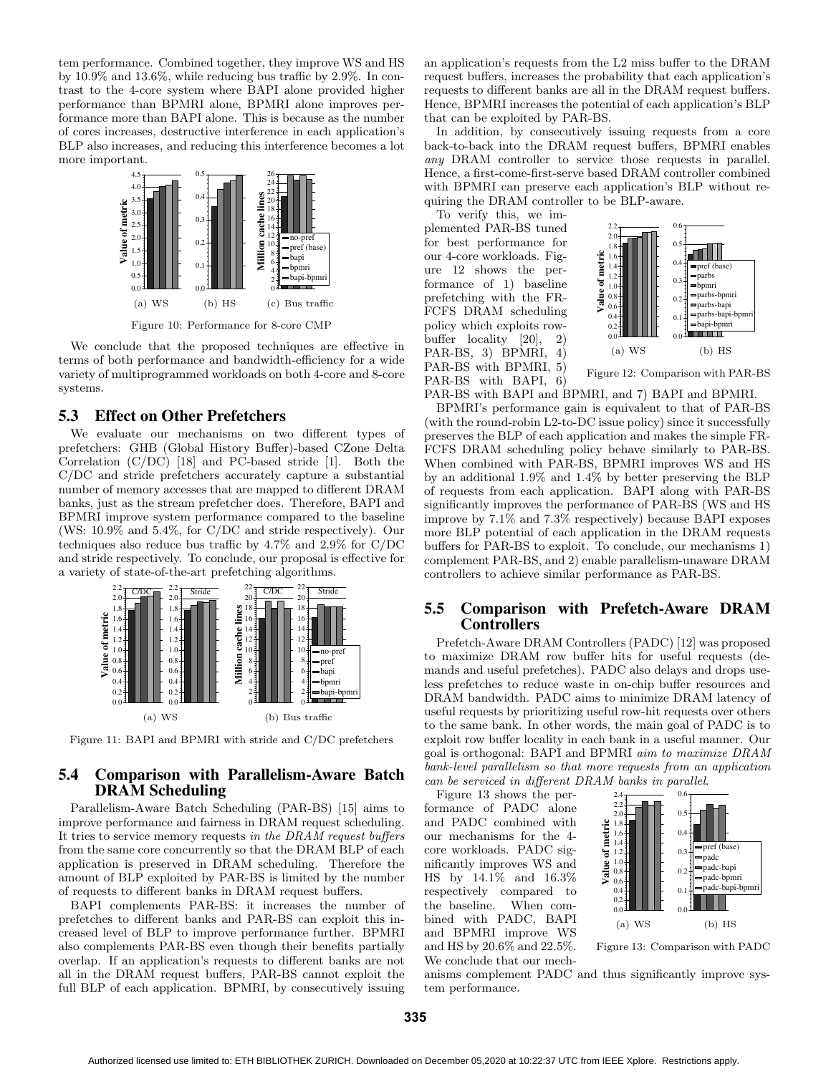tem performance. Combined together, they improve WS and HS by 10.9% and 13.6%, while reducing bus traffic by 2.9%. In contrast to the 4-core system where BAPI alone provided higher performance than BPMRI alone, BPMRI alone improves performance more than BAPI alone. This is because as the number of cores increases, destructive interference in each application's BLP also increases, and reducing this interference becomes a lot more important.



Figure 10: Performance for 8-core CMP

We conclude that the proposed techniques are effective in terms of both performance and bandwidth-efficiency for a wide variety of multiprogrammed workloads on both 4-core and 8-core systems.

# **5.3 Effect on Other Prefetchers**

We evaluate our mechanisms on two different types of prefetchers: GHB (Global History Buffer)-based CZone Delta Correlation (C/DC) [18] and PC-based stride [1]. Both the C/DC and stride prefetchers accurately capture a substantial number of memory accesses that are mapped to different DRAM banks, just as the stream prefetcher does. Therefore, BAPI and BPMRI improve system performance compared to the baseline (WS: 10.9% and 5.4%, for C/DC and stride respectively). Our techniques also reduce bus traffic by 4.7% and 2.9% for C/DC and stride respectively. To conclude, our proposal is effective for a variety of state-of-the-art prefetching algorithms.



Figure 11: BAPI and BPMRI with stride and C/DC prefetchers

# **5.4 Comparison with Parallelism-Aware Batch DRAM Scheduling**

Parallelism-Aware Batch Scheduling (PAR-BS) [15] aims to improve performance and fairness in DRAM request scheduling. It tries to service memory requests in the DRAM request buffers from the same core concurrently so that the DRAM BLP of each application is preserved in DRAM scheduling. Therefore the amount of BLP exploited by PAR-BS is limited by the number of requests to different banks in DRAM request buffers.

BAPI complements PAR-BS: it increases the number of prefetches to different banks and PAR-BS can exploit this increased level of BLP to improve performance further. BPMRI also complements PAR-BS even though their benefits partially overlap. If an application's requests to different banks are not all in the DRAM request buffers, PAR-BS cannot exploit the full BLP of each application. BPMRI, by consecutively issuing

an application's requests from the L2 miss buffer to the DRAM request buffers, increases the probability that each application's requests to different banks are all in the DRAM request buffers. Hence, BPMRI increases the potential of each application's BLP that can be exploited by PAR-BS.

In addition, by consecutively issuing requests from a core back-to-back into the DRAM request buffers, BPMRI enables any DRAM controller to service those requests in parallel. Hence, a first-come-first-serve based DRAM controller combined with BPMRI can preserve each application's BLP without requiring the DRAM controller to be BLP-aware.

To verify this, we implemented PAR-BS tuned for best performance for our 4-core workloads. Figure 12 shows the performance of 1) baseline prefetching with the FR-FCFS DRAM scheduling policy which exploits rowbuffer locality [20], 2) PAR-BS, 3) BPMRI, 4) PAR-BS with BPMRI, 5) PAR-BS with BAPI, 6)



Figure 12: Comparison with PAR-BS

PAR-BS with BAPI and BPMRI, and 7) BAPI and BPMRI.

BPMRI's performance gain is equivalent to that of PAR-BS (with the round-robin L2-to-DC issue policy) since it successfully preserves the BLP of each application and makes the simple FR-FCFS DRAM scheduling policy behave similarly to PAR-BS. When combined with PAR-BS, BPMRI improves WS and HS by an additional 1.9% and 1.4% by better preserving the BLP of requests from each application. BAPI along with PAR-BS significantly improves the performance of PAR-BS (WS and HS improve by 7.1% and 7.3% respectively) because BAPI exposes more BLP potential of each application in the DRAM requests buffers for PAR-BS to exploit. To conclude, our mechanisms 1) complement PAR-BS, and 2) enable parallelism-unaware DRAM controllers to achieve similar performance as PAR-BS.

# **5.5 Comparison with Prefetch-Aware DRAM Controllers**

Prefetch-Aware DRAM Controllers (PADC) [12] was proposed to maximize DRAM row buffer hits for useful requests (demands and useful prefetches). PADC also delays and drops useless prefetches to reduce waste in on-chip buffer resources and DRAM bandwidth. PADC aims to minimize DRAM latency of useful requests by prioritizing useful row-hit requests over others to the same bank. In other words, the main goal of PADC is to exploit row buffer locality in each bank in a useful manner. Our goal is orthogonal: BAPI and BPMRI aim to maximize DRAM bank-level parallelism so that more requests from an application can be serviced in different DRAM banks in parallel.

Figure 13 shows the performance of PADC alone and PADC combined with our mechanisms for the 4 core workloads. PADC significantly improves WS and HS by 14.1% and 16.3% respectively compared to the baseline. When combined with PADC, BAPI and BPMRI improve WS and HS by 20.6% and 22.5%. We conclude that our mech-



Figure 13: Comparison with PADC

anisms complement PADC and thus significantly improve system performance.

**335**